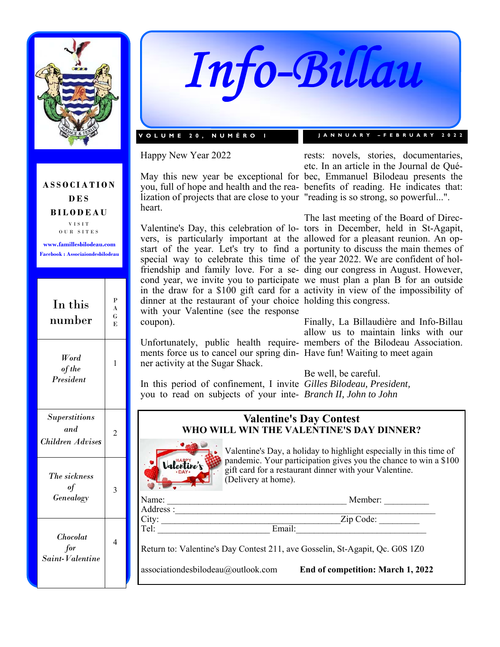

# *Info-Billau*

#### **VOLUME 20, NUMÉRO 1 JANNUARY –FEBRUARY 2022**

Happy New Year 2022

May this new year be exceptional for bec, Emmanuel Bilodeau presents the you, full of hope and health and the rea-benefits of reading. He indicates that: lization of projects that are close to your "reading is so strong, so powerful...". heart.

vers, is particularly important at the allowed for a pleasant reunion. An opspecial way to celebrate this time of the year 2022. We are confident of holdinner at the restaurant of your choice holding this congress. with your Valentine (see the response coupon).

Unfortunately, public health require-members of the Bilodeau Association. ments force us to cancel our spring din-Have fun! Waiting to meet again ner activity at the Sugar Shack.

rests: novels, stories, documentaries, etc. In an article in the Journal de Qué-

Valentine's Day, this celebration of lo-tors in December, held in St-Agapit, start of the year. Let's try to find a portunity to discuss the main themes of friendship and family love. For a se-ding our congress in August. However, cond year, we invite you to participate we must plan a plan B for an outside in the draw for a \$100 gift card for a activity in view of the impossibility of The last meeting of the Board of Direc-

> Finally, La Billaudière and Info-Billau allow us to maintain links with our

Be well, be careful.

In this period of confinement, I invite *Gilles Bilodeau, President,*  you to read on subjects of your inte-*Branch II, John to John* 

#### **Valentine's Day Contest WHO WILL WIN THE VALENTINE'S DAY DINNER?**



Valentine's Day, a holiday to highlight especially in this time of pandemic. Your participation gives you the chance to win a \$100 gift card for a restaurant dinner with your Valentine. (Delivery at home).

Name: \_\_\_\_\_\_\_\_\_\_\_\_\_\_\_\_\_\_\_\_\_\_\_\_\_\_\_\_\_\_\_\_\_\_\_\_\_\_\_\_ Member: \_\_\_\_\_\_\_\_\_\_ Address :\_\_\_\_\_\_\_\_\_\_\_\_\_\_\_\_\_\_\_\_\_\_\_\_\_\_\_\_\_\_\_\_\_\_\_\_\_\_\_\_\_\_\_\_\_\_\_\_\_\_\_\_\_\_\_\_\_\_ City:  $\Box$ 

Tel: Email:

Return to: Valentine's Day Contest 211, ave Gosselin, St-Agapit, Qc. G0S 1Z0

associationdesbilodeau@outlook.com **End of competition: March 1, 2022** 

**ASSOCIATION DES BILODEAU**  VISIT OUR SITES

**www.famillesbilodeau.com Facebook : Associaiondesbilodeau** 

| In this<br>number                               | P<br>$\bf{A}$<br>Ġ<br>E |
|-------------------------------------------------|-------------------------|
| Word<br>of the<br>President                     | $\mathbf{1}$            |
| <b>Superstitions</b><br>and<br>Children Advises | 2                       |
| The sickness<br>of<br>Genealogy                 | 3                       |
| Chocolat<br>for<br>Saint-Valentine              | 4                       |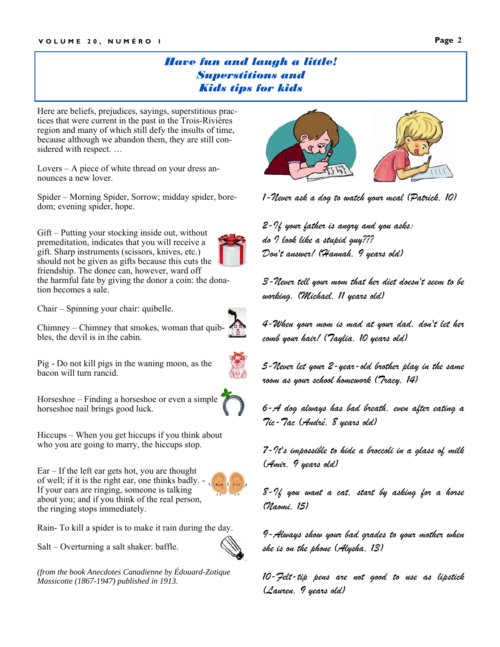### *Have fun and laugh a little! Superstitions and Kids tips for kids*

Here are beliefs, prejudices, sayings, superstitious practices that were current in the past in the Trois-Rivières region and many of which still defy the insults of time, because although we abandon them, they are still considered with respect. …

Lovers – A piece of white thread on your dress announces a new lover.

Spider – Morning Spider, Sorrow; midday spider, boredom; evening spider, hope.

Gift – Putting your stocking inside out, without premeditation, indicates that you will receive a gift. Sharp instruments (scissors, knives, etc.) should not be given as gifts because this cuts the friendship. The donee can, however, ward off the harmful fate by giving the donor a coin: the donation becomes a sale.

Chair – Spinning your chair: quibelle.

bles, the devil is in the cabin.

Chimney – Chimney that smokes, woman that quib-

Pig - Do not kill pigs in the waning moon, as the bacon will turn rancid.

Horseshoe – Finding a horseshoe or even a simple horseshoe nail brings good luck.

Hiccups – When you get hiccups if you think about who you are going to marry, the hiccups stop.

Ear – If the left ear gets hot, you are thought of well; if it is the right ear, one thinks badly. - If your ears are ringing, someone is talking about you; and if you think of the real person, the ringing stops immediately.

Rain- To kill a spider is to make it rain during the day.

Salt – Overturning a salt shaker: baffle.

*(from the book Anecdotes Canadienne by Édouard-Zotique Massicotte (1867-1947) published in 1913.* 



*1-Never ask a dog to watch your meal (Patrick, 10)* 

*2-If your father is angry and you asks: do I look like a stupid guy??? Don't answer! (Hannah, 9 years old)* 

*3-Never tell your mom that her diet doesn't seem to be working. (Michael, 11 years old)* 

*4-When your mom is mad at your dad, don't let her comb your hair! (Taylia, 10 years old)* 

*5-Never let your 2-year-old brother play in the same room as your school homework (Tracy, 14)* 

*6-A dog always has bad breath, even after eating a Tic-Tac (André, 8 years old)* 

*7-It's impossible to hide a broccoli in a glass of milk (Amir, 9 years old)* 

*8-If you want a cat, start by asking for a horse (Naomi, 15)* 

*9-Always show your bad grades to your mother when she is on the phone (Alysha, 13)* 

*10-Felt-tip pens are not good to use as lipstick (Lauren, 9 years old)*







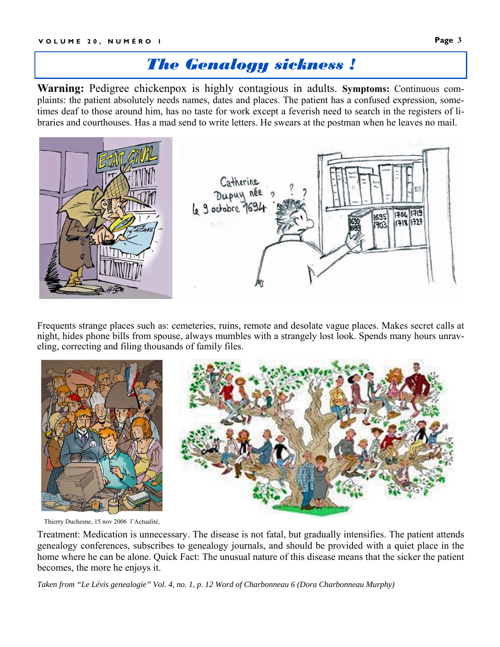# *The Genalogy sickness !*

**Warning:** Pedigree chickenpox is highly contagious in adults. **Symptoms:** Continuous complaints: the patient absolutely needs names, dates and places. The patient has a confused expression, sometimes deaf to those around him, has no taste for work except a feverish need to search in the registers of libraries and courthouses. Has a mad send to write letters. He swears at the postman when he leaves no mail.



Frequents strange places such as: cemeteries, ruins, remote and desolate vague places. Makes secret calls at night, hides phone bills from spouse, always mumbles with a strangely lost look. Spends many hours unraveling, correcting and filing thousands of family files.



Thierry Duchesne, 15 nov 2006 l'Actualité,

Treatment: Medication is unnecessary. The disease is not fatal, but gradually intensifies. The patient attends genealogy conferences, subscribes to genealogy journals, and should be provided with a quiet place in the home where he can be alone. Quick Fact: The unusual nature of this disease means that the sicker the patient becomes, the more he enjoys it.

*Taken from "Le Lévis genealogie" Vol. 4, no. 1, p. 12 Word of Charbonneau 6 (Dora Charbonneau Murphy)*